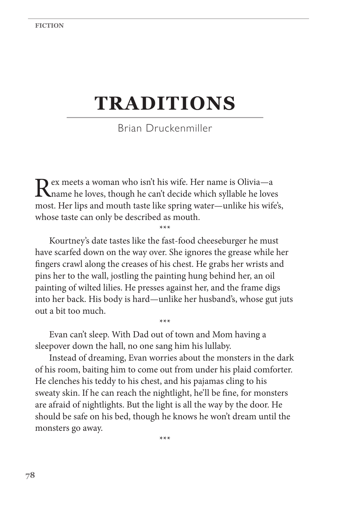## **TRADITIONS**

Brian Druckenmiller

Rex meets a woman who isn't his wife. Her name is Olivia—a<br>
name he loves, though he can't decide which syllable he loves most. Her lips and mouth taste like spring water—unlike his wife's, whose taste can only be described as mouth.

\*\*\*

Kourtney's date tastes like the fast-food cheeseburger he must have scarfed down on the way over. She ignores the grease while her fingers crawl along the creases of his chest. He grabs her wrists and pins her to the wall, jostling the painting hung behind her, an oil painting of wilted lilies. He presses against her, and the frame digs into her back. His body is hard—unlike her husband's, whose gut juts out a bit too much.

\*\*\*

Evan can't sleep. With Dad out of town and Mom having a sleepover down the hall, no one sang him his lullaby.

Instead of dreaming, Evan worries about the monsters in the dark of his room, baiting him to come out from under his plaid comforter. He clenches his teddy to his chest, and his pajamas cling to his sweaty skin. If he can reach the nightlight, he'll be fine, for monsters are afraid of nightlights. But the light is all the way by the door. He should be safe on his bed, though he knows he won't dream until the monsters go away.

\*\*\*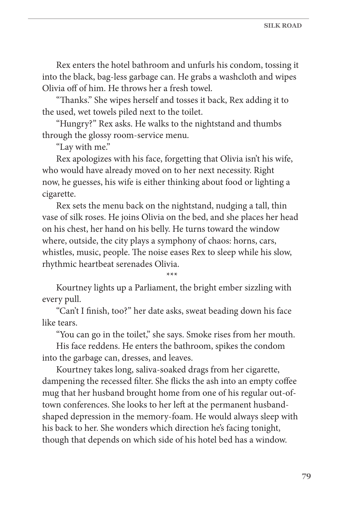Rex enters the hotel bathroom and unfurls his condom, tossing it into the black, bag-less garbage can. He grabs a washcloth and wipes Olivia off of him. He throws her a fresh towel.

"Thanks." She wipes herself and tosses it back, Rex adding it to the used, wet towels piled next to the toilet.

"Hungry?" Rex asks. He walks to the nightstand and thumbs through the glossy room-service menu.

"Lay with me."

Rex apologizes with his face, forgetting that Olivia isn't his wife, who would have already moved on to her next necessity. Right now, he guesses, his wife is either thinking about food or lighting a cigarette.

Rex sets the menu back on the nightstand, nudging a tall, thin vase of silk roses. He joins Olivia on the bed, and she places her head on his chest, her hand on his belly. He turns toward the window where, outside, the city plays a symphony of chaos: horns, cars, whistles, music, people. The noise eases Rex to sleep while his slow, rhythmic heartbeat serenades Olivia.

\*\*\*

Kourtney lights up a Parliament, the bright ember sizzling with every pull.

"Can't I finish, too?" her date asks, sweat beading down his face like tears.

"You can go in the toilet," she says. Smoke rises from her mouth.

His face reddens. He enters the bathroom, spikes the condom into the garbage can, dresses, and leaves.

Kourtney takes long, saliva-soaked drags from her cigarette, dampening the recessed filter. She flicks the ash into an empty coffee mug that her husband brought home from one of his regular out-oftown conferences. She looks to her left at the permanent husbandshaped depression in the memory-foam. He would always sleep with his back to her. She wonders which direction he's facing tonight, though that depends on which side of his hotel bed has a window.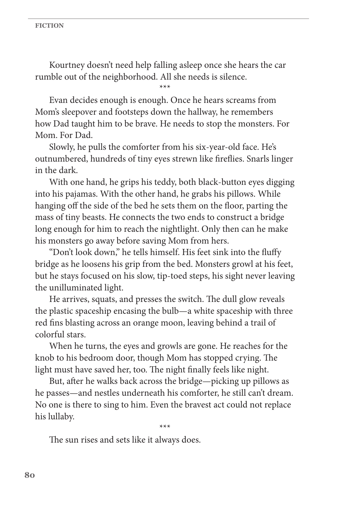Kourtney doesn't need help falling asleep once she hears the car rumble out of the neighborhood. All she needs is silence.

\*\*\*

Evan decides enough is enough. Once he hears screams from Mom's sleepover and footsteps down the hallway, he remembers how Dad taught him to be brave. He needs to stop the monsters. For Mom. For Dad.

Slowly, he pulls the comforter from his six-year-old face. He's outnumbered, hundreds of tiny eyes strewn like fireflies. Snarls linger in the dark.

With one hand, he grips his teddy, both black-button eyes digging into his pajamas. With the other hand, he grabs his pillows. While hanging off the side of the bed he sets them on the floor, parting the mass of tiny beasts. He connects the two ends to construct a bridge long enough for him to reach the nightlight. Only then can he make his monsters go away before saving Mom from hers.

"Don't look down," he tells himself. His feet sink into the fluffy bridge as he loosens his grip from the bed. Monsters growl at his feet, but he stays focused on his slow, tip-toed steps, his sight never leaving the unilluminated light.

He arrives, squats, and presses the switch. The dull glow reveals the plastic spaceship encasing the bulb—a white spaceship with three red fins blasting across an orange moon, leaving behind a trail of colorful stars.

When he turns, the eyes and growls are gone. He reaches for the knob to his bedroom door, though Mom has stopped crying. The light must have saved her, too. The night finally feels like night.

But, after he walks back across the bridge—picking up pillows as he passes—and nestles underneath his comforter, he still can't dream. No one is there to sing to him. Even the bravest act could not replace his lullaby.

\*\*\*

The sun rises and sets like it always does.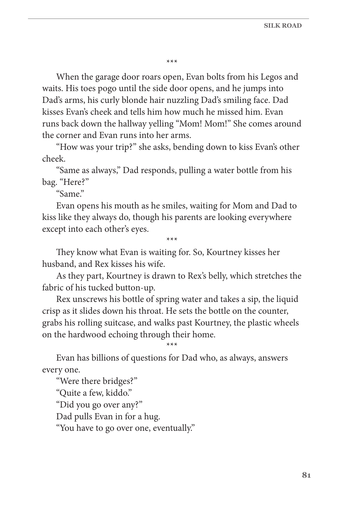\*\*\*

When the garage door roars open, Evan bolts from his Legos and waits. His toes pogo until the side door opens, and he jumps into Dad's arms, his curly blonde hair nuzzling Dad's smiling face. Dad kisses Evan's cheek and tells him how much he missed him. Evan runs back down the hallway yelling "Mom! Mom!" She comes around the corner and Evan runs into her arms.

"How was your trip?" she asks, bending down to kiss Evan's other cheek.

"Same as always," Dad responds, pulling a water bottle from his bag. "Here?"

"Same."

Evan opens his mouth as he smiles, waiting for Mom and Dad to kiss like they always do, though his parents are looking everywhere except into each other's eyes.

\*\*\*

They know what Evan is waiting for. So, Kourtney kisses her husband, and Rex kisses his wife.

As they part, Kourtney is drawn to Rex's belly, which stretches the fabric of his tucked button-up.

Rex unscrews his bottle of spring water and takes a sip, the liquid crisp as it slides down his throat. He sets the bottle on the counter, grabs his rolling suitcase, and walks past Kourtney, the plastic wheels on the hardwood echoing through their home.

\*\*\*

Evan has billions of questions for Dad who, as always, answers every one.

"Were there bridges?" "Quite a few, kiddo." "Did you go over any?" Dad pulls Evan in for a hug. "You have to go over one, eventually."